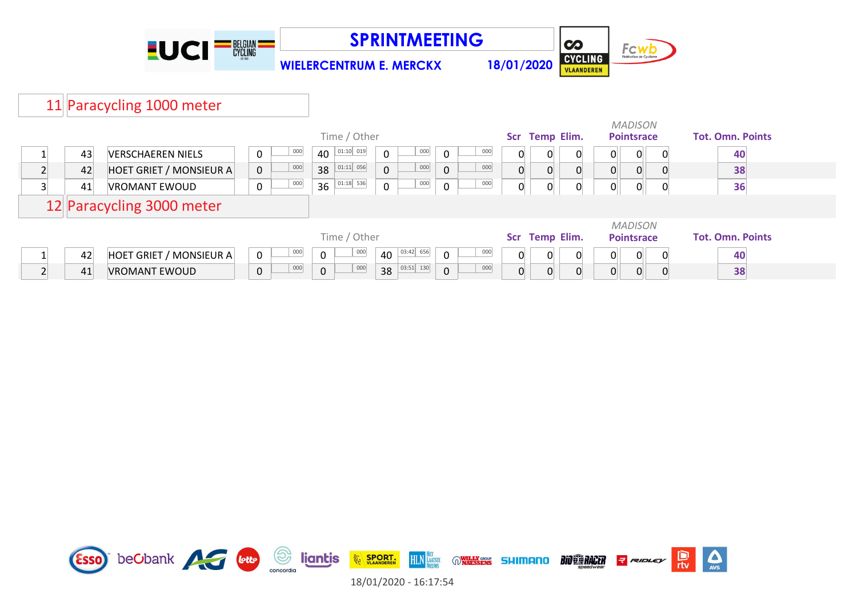

**SPRINTMEETING**



**WIELERCENTRUM E. MERCKX 18/01/2020**

## 11 Paracycling 1000 meter

|    |                                |                    | Time / Other          |                    | Scr Temp Elim. |                   |          | <b>MADISON</b><br><b>Pointsrace</b> |                | <b>Tot. Omn. Points</b> |                         |                |    |
|----|--------------------------------|--------------------|-----------------------|--------------------|----------------|-------------------|----------|-------------------------------------|----------------|-------------------------|-------------------------|----------------|----|
| 43 | <b>VERSCHAEREN NIELS</b>       | 000<br>0           | 01:10 019<br>40       | 000<br>0           | $\mathbf 0$    | 000               |          |                                     | 0              | 0∥                      | $\overline{0}$          | $\Omega$       | 40 |
| 42 | HOET GRIET / MONSIEUR A        | 000<br>$\mathbf 0$ | $01:11$ 056<br>38     | 000<br>$\mathbf 0$ | $\mathbf 0$    | 000               |          |                                     |                |                         |                         |                | 38 |
| 41 | <b>VROMANT EWOUD</b>           | 000<br>$\pmb{0}$   | 01:18 536<br>36       | 000<br>0           | $\mathbf 0$    | 000               | $\Omega$ |                                     |                | ∩∥                      | $\Omega$                | 0              | 36 |
|    | 12 Paracycling 3000 meter      |                    |                       |                    |                |                   |          |                                     |                |                         |                         |                |    |
|    |                                |                    |                       |                    |                |                   |          |                                     | <b>MADISON</b> |                         |                         |                |    |
|    |                                |                    | Time / Other          |                    | Scr            | <b>Temp Elim.</b> |          | <b>Pointsrace</b>                   |                |                         | <b>Tot. Omn. Points</b> |                |    |
| 42 | <b>HOET GRIET / MONSIEUR A</b> | 000<br>$\mathbf 0$ | 000<br>$\mathbf 0$    | 03:42 656<br>40    | $\mathbf 0$    | 000               |          |                                     | 0              | 0                       | $\overline{0}$          | $\overline{0}$ | 40 |
| 41 | <b>VROMANT EWOUD</b>           | 000<br>$\pmb{0}$   | 000<br>$\overline{0}$ | $38$ $03:51$ 130   | $\mathbf 0$    | 000               |          |                                     | 0              | 01                      | $\overline{0}$          |                | 38 |

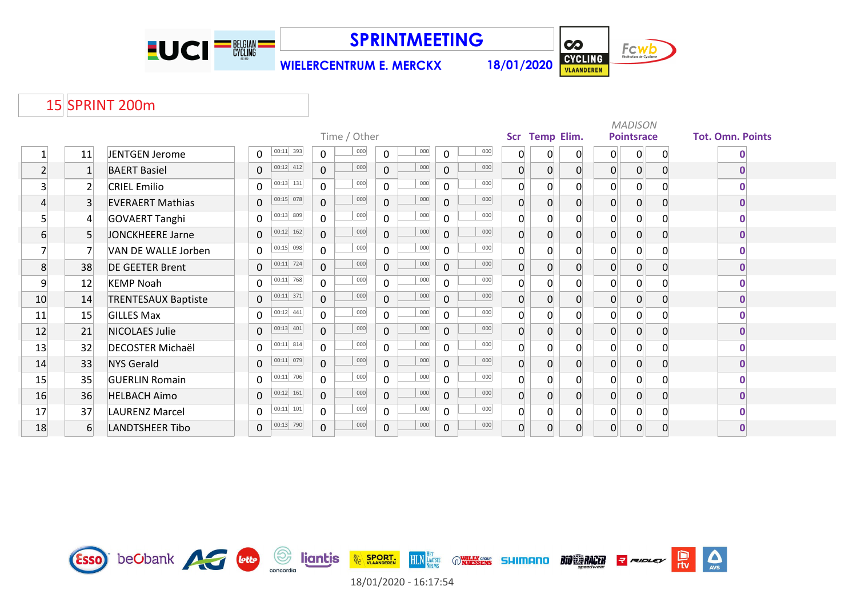

**SPRINTMEETING**

**WIELERCENTRUM E. MERCKX 18/01/2020**



 $\sum_{\text{AVS}}$ 

## 15 SPRINT 200m

|                |                |                            |                |               |                |              |              |     |                |                                 |                  |                |                |                   | <b>MADISON</b> |                         |             |
|----------------|----------------|----------------------------|----------------|---------------|----------------|--------------|--------------|-----|----------------|---------------------------------|------------------|----------------|----------------|-------------------|----------------|-------------------------|-------------|
|                |                |                            |                |               |                | Time / Other |              |     |                | <b>Scr</b><br><b>Temp Elim.</b> |                  |                |                | <b>Pointsrace</b> |                | <b>Tot. Omn. Points</b> |             |
|                | 11             | JENTGEN Jerome             | 0              | $00:11$ 393   | $\mathbf 0$    | 000          | $\mathbf{0}$ | 000 | $\mathbf 0$    | 000                             | $\mathsf{O}$     | 0              | $\Omega$       | 0                 | $\overline{0}$ | $\mathbf{0}$            | O           |
| $\mathbf{2}$   |                | <b>BAERT Basiel</b>        | 0              | $00:12$ 412   | $\mathbf 0$    | 000          | $\mathbf 0$  | 000 | $\mathbf 0$    | 000                             | $\overline{0}$   | 0              | $\overline{0}$ | $\overline{0}$    | $\overline{0}$ | $\mathbf{0}$            | $\bf{0}$    |
| 3              | $\overline{2}$ | <b>CRIEL Emilio</b>        | 0              | $00:13$ 131   | $\mathbf{0}$   | 000          | $\mathbf 0$  | 000 | $\mathbf 0$    | 000                             | $\overline{0}$   | $\Omega$       | 0              | $\overline{0}$    | $\overline{0}$ |                         | 0           |
| $\overline{4}$ | 3              | <b>EVERAERT Mathias</b>    | 0              | $00:15$ 078   | $\overline{0}$ | 000          | $\Omega$     | 000 | $\mathbf 0$    | 000                             | $\boldsymbol{0}$ | 0              | $\overline{0}$ | 0                 | $\overline{0}$ | $\Omega$                | $\bf{0}$    |
| 5              | $\overline{4}$ | <b>GOVAERT Tanghi</b>      | 0              | 00:13 809     | $\overline{0}$ | 000          | $\Omega$     | 000 | $\mathbf 0$    | 000                             | 0                | 0              | $\Omega$       | $\Omega$          | 0              |                         |             |
| 6              | 5 <sup>1</sup> | JONCKHEERE Jarne           | 0              | $00:12$ 162   | $\overline{0}$ | 000          | $\mathbf{0}$ | 000 | 0              | 000                             | $\overline{0}$   | 0              | $\overline{0}$ | 0                 | $\overline{0}$ | $\mathbf{0}$            | $\mathbf 0$ |
| 7              | $\overline{7}$ | VAN DE WALLE Jorben        | $\mathbf{0}$   | $00:15$ 098   | $\overline{0}$ | 000          | $\mathbf 0$  | 000 | $\mathbf 0$    | 000                             | $\overline{0}$   | $\overline{0}$ | $\Omega$       | $\overline{0}$    | $\overline{0}$ |                         | O           |
| 8              | 38             | <b>DE GEETER Brent</b>     | 0              | $00:11$ 724   | $\overline{0}$ | 000          | $\Omega$     | 000 | $\Omega$       | 000                             | $\boldsymbol{0}$ | $\overline{0}$ | $\mathbf 0$    | $\overline{0}$    | $\overline{0}$ |                         | $\bf{0}$    |
| 9              | 12             | <b>KEMP Noah</b>           | 0              | $00:11$ 768   | $\mathbf 0$    | 000          | $\Omega$     | 000 | $\mathbf 0$    | 000                             | $\overline{0}$   | 0              | $\overline{0}$ | $\overline{0}$    | 0              |                         | ŋ           |
| 10             | 14             | <b>TRENTESAUX Baptiste</b> | $\overline{0}$ | $00:11$ 371   | $\overline{0}$ | 000          | $\mathbf 0$  | 000 | $\mathbf{0}$   | 000                             | $\overline{0}$   | $\Omega$       | $\overline{0}$ | $\overline{0}$    | 0              | $\Omega$                | 0           |
| 11             | 15             | <b>GILLES Max</b>          | 0              | $00:12$ 441   | $\mathbf 0$    | 000          | $\Omega$     | 000 | $\mathbf 0$    | 000                             | $\mathbf{0}$     | $\Omega$       | $\overline{0}$ | $\mathbf{0}$      | $\overline{0}$ |                         | O           |
| 12             | 21             | NICOLAES Julie             | 0              | $00:13$ 401   | $\overline{0}$ | 000          | $\Omega$     | 000 | $\mathbf 0$    | 000                             | $\mathbf 0$      | 0              | $\overline{0}$ | 0                 | $\overline{0}$ |                         | $\bf{0}$    |
| 13             | 32             | <b>DECOSTER Michaël</b>    | 0              | $00:11$ 814   | $\mathbf{0}$   | 000          | $\mathbf 0$  | 000 | $\mathbf 0$    | 000                             | 0                | $\Omega$       | $\Omega$       | 0                 | 0              |                         | ŋ           |
| 14             | 33             | <b>NYS Gerald</b>          | 0              | $00:11$ 079   | $\mathbf 0$    | 000          | $\mathbf 0$  | 000 | $\overline{0}$ | 000                             | $\overline{0}$   | 0              | $\overline{0}$ | 0                 | $\overline{0}$ | $\Omega$                | $\mathbf 0$ |
| 15             | 35             | <b>GUERLIN Romain</b>      | 0              | $ 00:11 $ 706 | $\mathbf 0$    | 000          | $\mathbf 0$  | 000 | $\mathsf{O}$   | 000                             | $\overline{0}$   | $\overline{0}$ | $\overline{0}$ | $\overline{0}$    | $\overline{0}$ |                         | 0           |
| 16             | 36             | <b>HELBACH Aimo</b>        | 0              | $00:12$ 161   | $\overline{0}$ | 000          | $\mathbf 0$  | 000 | $\mathbf{0}$   | 000                             | $\overline{0}$   | $\overline{0}$ | $\Omega$       | $\overline{0}$    | $\overline{0}$ | $\Omega$                | $\bf{0}$    |
| 17             | 37             | <b>LAURENZ Marcel</b>      | 0              | $00:11$ 101   | $\mathbf{0}$   | 000          | $\Omega$     | 000 | $\mathbf 0$    | 000                             | $\overline{0}$   | $\Omega$       | $\overline{0}$ | $\overline{0}$    | $\overline{0}$ | $\Omega$                | ŋ           |
| 18             | 6              | <b>LANDTSHEER Tibo</b>     | 0              | $00:13$ 790   | $\overline{0}$ | 000          | $\mathbf{0}$ | 000 | $\mathbf 0$    | 000                             | $\overline{0}$   | $\Omega$       | $\Omega$       | 0                 | $\Omega$       | $\overline{0}$          | $\bf{0}$    |